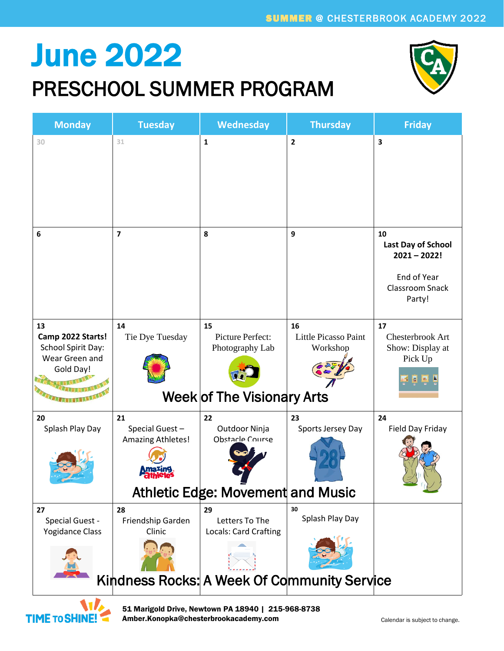## June 2022

#### PRESCHOOL SUMMER PROGRAM



| <b>Monday</b>                                                                       | <b>Tuesday</b>                            | Wednesday                                                                   | <b>Thursday</b>                             | <b>Friday</b>                                                                                 |
|-------------------------------------------------------------------------------------|-------------------------------------------|-----------------------------------------------------------------------------|---------------------------------------------|-----------------------------------------------------------------------------------------------|
| 30                                                                                  | 31                                        | $\mathbf{1}$                                                                | 2                                           | 3                                                                                             |
| 6                                                                                   | $\overline{7}$                            | 8                                                                           | 9                                           | 10<br>Last Day of School<br>$2021 - 2022!$<br>End of Year<br><b>Classroom Snack</b><br>Party! |
| 13<br>Camp 2022 Starts!<br><b>School Spirit Day:</b><br>Wear Green and<br>Gold Day! | 14<br>Tie Dye Tuesday                     | 15<br>Picture Perfect:<br>Photography Lab<br>Week of The Visionary Arts     | 16<br>Little Picasso Paint<br>Workshop      | 17<br>Chesterbrook Art<br>Show: Display at<br>Pick Up                                         |
| 20<br>Splash Play Day                                                               | 21<br>Special Guest-<br>Amazing Athletes! | 22<br>Outdoor Ninja<br>Obstacle Course<br>Athletic Edge: Movement and Music | 23<br>Sports Jersey Day                     | 24<br>Field Day Friday                                                                        |
| 27<br>Special Guest -<br><b>Yogidance Class</b>                                     | 28<br>Friendship Garden<br>Clinic         | 29<br>Letters To The<br>Locals: Card Crafting                               | 30<br>Splash Play Day                       |                                                                                               |
|                                                                                     |                                           |                                                                             | Kindness Rocks: A Week Of Community Service |                                                                                               |
| W                                                                                   |                                           | 51 Marigold Drive, Newtown PA 18940   215-968-8738                          |                                             |                                                                                               |

Amber.Konopka@chesterbrookacademy.com

**TIME TO SHINE!**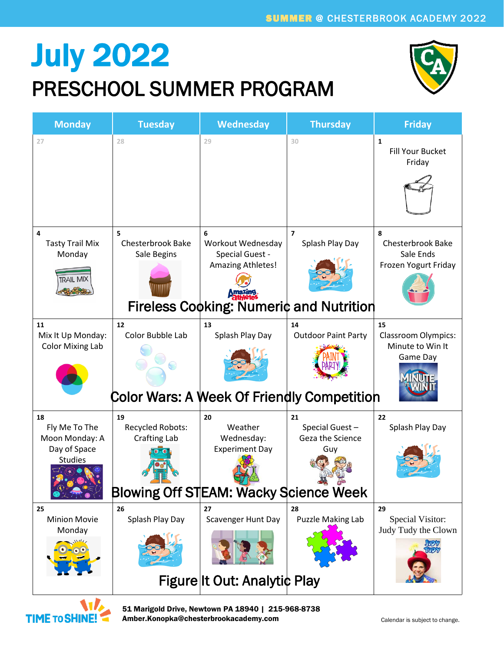### July 2022 PRESCHOOL SUMMER PROGRAM



| <b>Monday</b>                                                           | <b>Tuesday</b>                                                                                | <b>Wednesday</b>                                                      | <b>Thursday</b>                                                                     | <b>Friday</b>                                                      |
|-------------------------------------------------------------------------|-----------------------------------------------------------------------------------------------|-----------------------------------------------------------------------|-------------------------------------------------------------------------------------|--------------------------------------------------------------------|
| 27                                                                      | 28                                                                                            | 29                                                                    | 30                                                                                  | $\mathbf{1}$<br><b>Fill Your Bucket</b><br>Friday                  |
| 4<br><b>Tasty Trail Mix</b><br>Monday<br><b>TRAIL MIX</b>               | 5<br><b>Chesterbrook Bake</b><br>Sale Begins                                                  | 6<br>Workout Wednesday<br>Special Guest -<br><b>Amazing Athletes!</b> | $\overline{ }$<br>Splash Play Day<br><b>Fireless Cooking: Numeric and Nutrition</b> | 8<br><b>Chesterbrook Bake</b><br>Sale Ends<br>Frozen Yogurt Friday |
| 11<br>Mix It Up Monday:<br><b>Color Mixing Lab</b>                      | 12<br>Color Bubble Lab<br><b>Color Wars: A Week Of Friendly Competition</b>                   | 13<br>Splash Play Day                                                 | 14<br><b>Outdoor Paint Party</b>                                                    | 15<br><b>Classroom Olympics:</b><br>Minute to Win It<br>Game Day   |
| 18<br>Fly Me To The<br>Moon Monday: A<br>Day of Space<br><b>Studies</b> | 19<br>Recycled Robots:<br><b>Crafting Lab</b><br><b>Blowing Off STEAM: Wacky Science Week</b> | 20<br>Weather<br>Wednesday:<br><b>Experiment Day</b>                  | 21<br>Special Guest-<br>Geza the Science<br>Guy                                     | 22<br>Splash Play Day                                              |
| 25<br><b>Minion Movie</b><br>Monday                                     | 26<br>Splash Play Day                                                                         | 27<br>Scavenger Hunt Day<br>Figure It Out: Analytic Play              | 28<br>Puzzle Making Lab                                                             | 29<br>Special Visitor:<br>Judy Tudy the Clown                      |



51 Marigold Drive, Newtown PA 18940 | 215-968-8738 Amber.Konopka@chesterbrookacademy.com